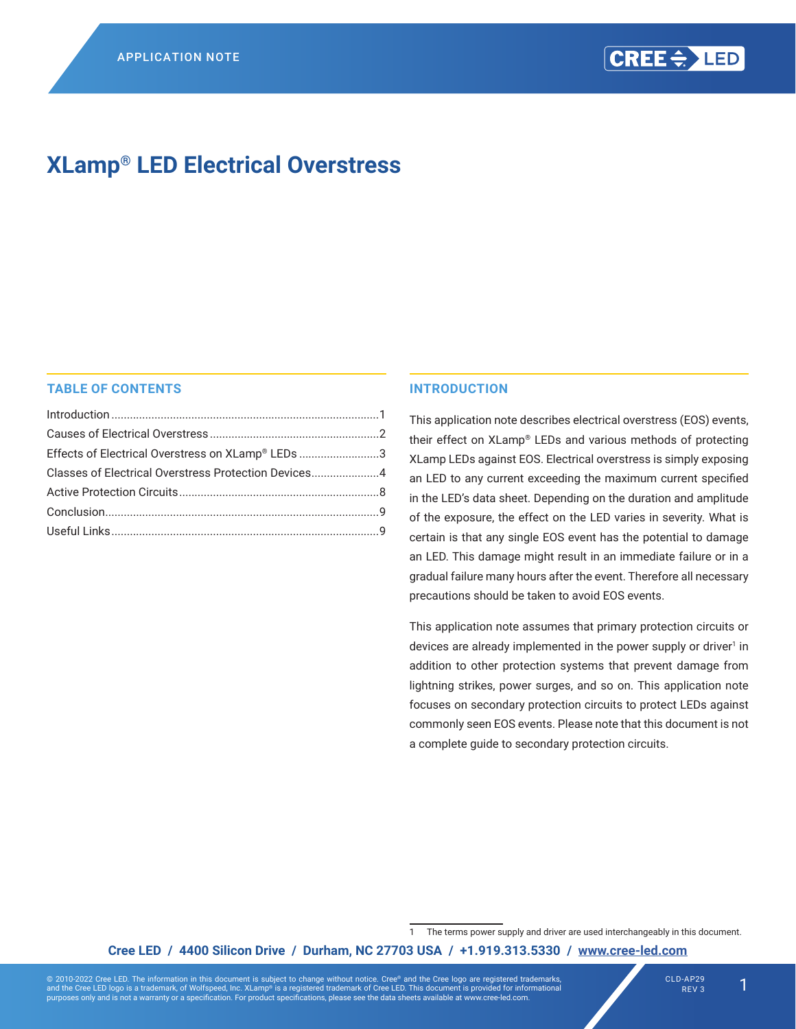# **XLamp® LED Electrical Overstress**

### **TABLE OF CONTENTS**

| Effects of Electrical Overstress on XLamp® LEDs 3    |  |
|------------------------------------------------------|--|
| Classes of Electrical Overstress Protection Devices4 |  |
|                                                      |  |
|                                                      |  |
|                                                      |  |

#### **INTRODUCTION**

This application note describes electrical overstress (EOS) events, their effect on XLamp® LEDs and various methods of protecting XLamp LEDs against EOS. Electrical overstress is simply exposing an LED to any current exceeding the maximum current specified in the LED's data sheet. Depending on the duration and amplitude of the exposure, the effect on the LED varies in severity. What is certain is that any single EOS event has the potential to damage an LED. This damage might result in an immediate failure or in a gradual failure many hours after the event. Therefore all necessary precautions should be taken to avoid EOS events.

This application note assumes that primary protection circuits or devices are already implemented in the power supply or driver<sup>1</sup> in addition to other protection systems that prevent damage from lightning strikes, power surges, and so on. This application note focuses on secondary protection circuits to protect LEDs against commonly seen EOS events. Please note that this document is not a complete guide to secondary protection circuits.

**Cree LED / 4400 Silicon Drive / Durham, NC 27703 USA / +1.919.313.5330 / [www.cree-led.com](http://www.cree-led.com)**

<sup>1</sup> The terms power supply and driver are used interchangeably in this document.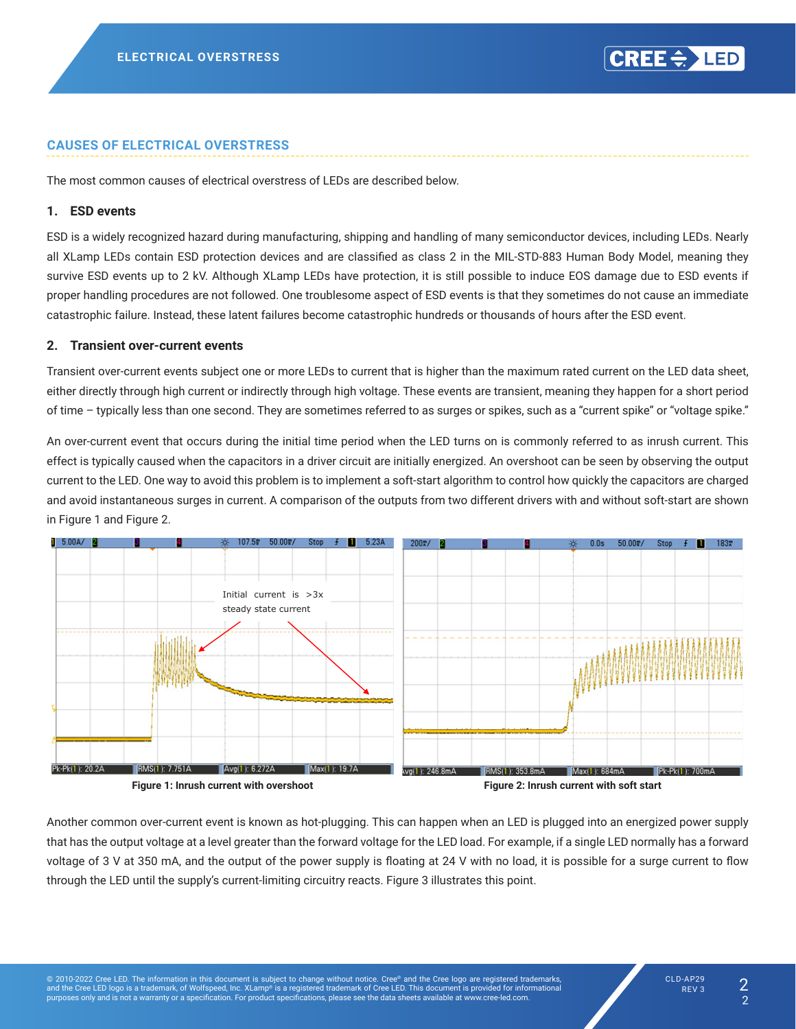#### <span id="page-1-0"></span>**CAUSES OF ELECTRICAL OVERSTRESS**

The most common causes of electrical overstress of LEDs are described below.

#### **1. ESD events**

ESD is a widely recognized hazard during manufacturing, shipping and handling of many semiconductor devices, including LEDs. Nearly all XLamp LEDs contain ESD protection devices and are classified as class 2 in the MIL‑STD‑883 Human Body Model, meaning they survive ESD events up to 2 kV. Although XLamp LEDs have protection, it is still possible to induce EOS damage due to ESD events if proper handling procedures are not followed. One troublesome aspect of ESD events is that they sometimes do not cause an immediate catastrophic failure. Instead, these latent failures become catastrophic hundreds or thousands of hours after the ESD event.

#### **2. Transient over-current events**

Transient over-current events subject one or more LEDs to current that is higher than the maximum rated current on the LED data sheet, either directly through high current or indirectly through high voltage. These events are transient, meaning they happen for a short period of time – typically less than one second. They are sometimes referred to as surges or spikes, such as a "current spike" or "voltage spike."

An over-current event that occurs during the initial time period when the LED turns on is commonly referred to as inrush current. This effect is typically caused when the capacitors in a driver circuit are initially energized. An overshoot can be seen by observing the output current to the LED. One way to avoid this problem is to implement a soft-start algorithm to control how quickly the capacitors are charged and avoid instantaneous surges in current. A comparison of the outputs from two different drivers with and without soft-start are shown *Figure 1: Inrush current with overshoot* in [Figure 1](#page-1-1) and [Figure 2](#page-1-2).



<span id="page-1-2"></span><span id="page-1-1"></span>Another common over-current event is known as hot-plugging. This can happen when an LED is plugged into an energized power supply that has the output voltage at a level greater than the forward voltage for the LED load. For example, if a single LED normally has a forward voltage of 3 V at 350 mA, and the output of the power supply is floating at 24 V with no load, it is possible for a surge current to flow  $\mathbf{r}$  supply reacting current-limiting circuitry reacts. Figure 3 is point. Figure 3 in  $\mathbf{r}$ through the LED until the supply's current-limiting circuitry reacts. [Figure 3](#page-2-1) illustrates this point.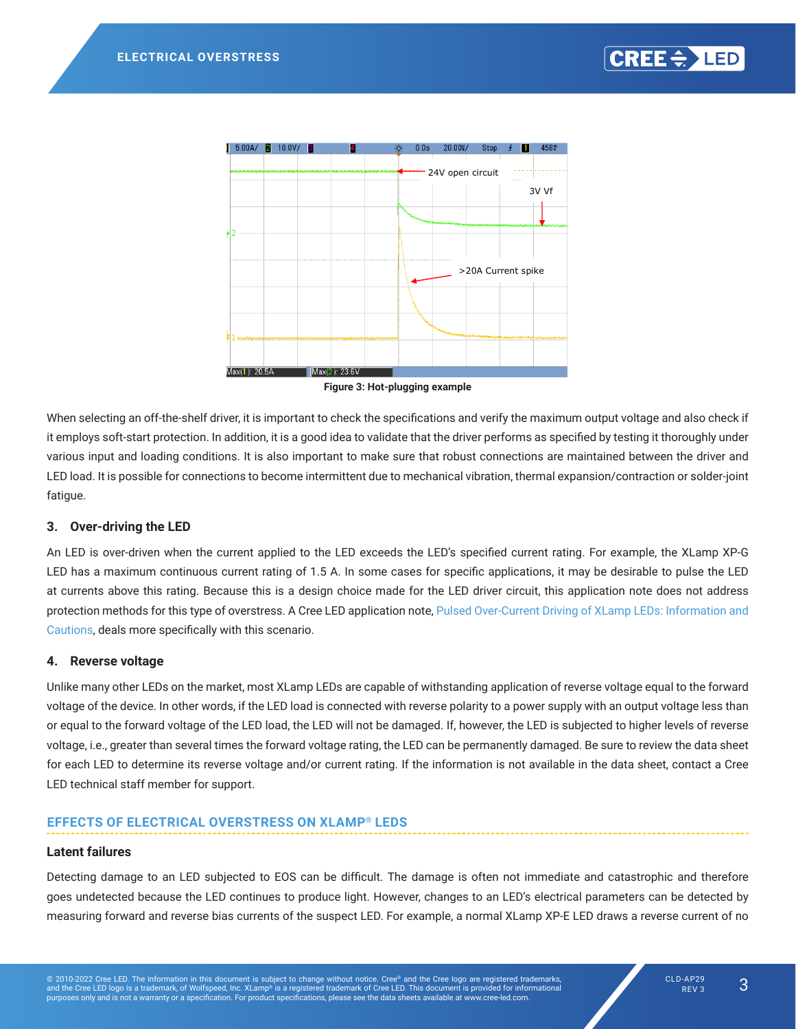<span id="page-2-0"></span>

<span id="page-2-1"></span>**Figure 3: Hot-plugging example** *Figure 3: Hot-plug example*

When selecting an off-the-shelf driver, it is important to check the specifications and verify the maximum output voltage and also check if it employs soft-start protection. In addition, it is a good idea to validate that the driver performs as specified by testing it thoroughly under various input and loading conditions. It is also important to make sure that robust connections are maintained between the driver and LED load. It is possible for connections to become intermittent due to mechanical vibration, thermal expansion/contraction or solder-joint fatigue. performs as specified by testing it thoroughly under various input and loading conditions. It is also important to make

#### **LED at currents above the ratio above the ratio above the ratio above the ratio above the ratio above the ratio**  $\sim$

An LED is over-driven when the current applied to the LED exceeds the LED's specified current rating. For example, the XLamp XP-G LED has a maximum continuous current rating of 1.5 A. In some cases for specific applications, it may be desirable to pulse the LED at currents above this rating. Because this is a design choice made for the LED driver circuit, this application note does not address protection methods for this type of overstress. A Cree LED application note, [Pulsed Over-Current Driving of XLamp LEDs: Information and](https://cree-led.com/media/documents/XLampPulsedCurrent.pdf
) [Cautions](https://cree-led.com/media/documents/XLampPulsedCurrent.pdf
), deals more specifically with this scenario. Cautions will not the forward voltage of the C United many other Leds on the market of a decision of the capable of the capable of capable of reverse voltage<br>The voltage of the voltage voltage voltage voltage voltage voltage voltage voltage voltage voltage voltage vol

#### **4. Reverse voltage** the forward voltage rating), it can cause permanent damage. Be sure to review the datasheet for each device to determine the reverse voltage and or current rating. If the information is not available in the datasheet, contact and  $\alpha$

Unlike many other LEDs on the market, most XLamp LEDs are capable of withstanding application of reverse voltage equal to the forward voltage of the device. In other words, if the LED load is connected with reverse polarity to a power supply with an output voltage less than or equal to the forward voltage of the LED load, the LED will not be damaged. If, however, the LED is subjected to higher levels of reverse voltage, i.e., greater than several times the forward voltage rating, the LED can be permanently damaged. Be sure to review the data sheet for each LED to determine its reverse voltage and/or current rating. If the information is not available in the data sheet, [contact](http://www.cree.com/support/contact-support) a Cree LED technical staff member for support.

### **EFFECTS OF ELECTRICAL OVERSTRESS ON XLAMP® LEDS**

#### **Latent failures**

Detecting damage to an LED subjected to EOS can be difficult. The damage is often not immediate and catastrophic and therefore goes undetected because the LED continues to produce light. However, changes to an LED's electrical parameters can be detected by measuring forward and reverse bias currents of the suspect LED. For example, a normal XLamp XP-E LED draws a reverse current of no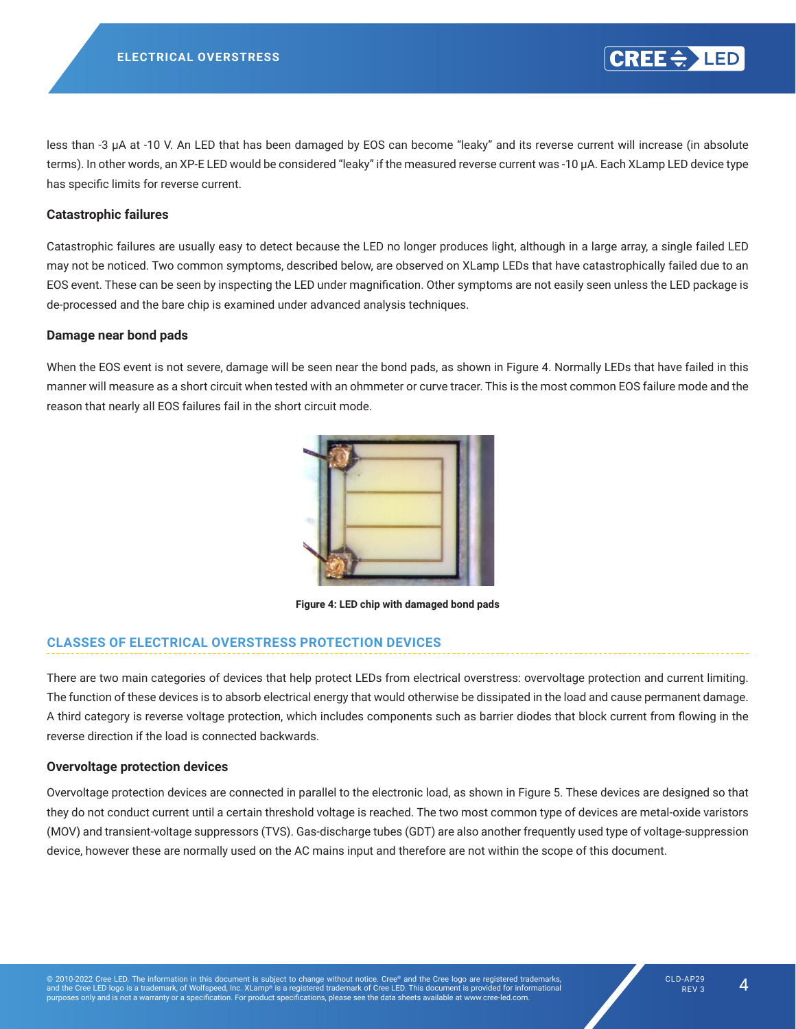<span id="page-3-0"></span>less than -3 μA at -10 V. An LED that has been damaged by EOS can become "leaky" and its reverse current will increase (in absolute terms). In other words, an XP-E LED would be considered "leaky" if the measured reverse current was -10 μA. Each XLamp LED device type has specific limits for reverse current. catastrophic and therefore goes undetected because the LED continues producing light. However, changes to the

#### **Catastrophic failures**  $E(\mathbf{C})$  and its reverse current will increase (in absolute terms). In other words, if the measured, if the measured will increase (in absolute terms). In other words, if the measured will be measured with  $\mathbf{C}$

Catastrophic failures are usually easy to detect because the LED no longer produces light, although in a large array, a single failed LED may not be noticed. Two common symptoms, described below, are observed on XLamp LEDs that have catastrophically failed due to an EOS event. These can be seen by inspecting the LED under magnification. Other symptoms are not easily seen unless the LED package is de-processed and the bare chip is examined under advanced analysis techniques.

#### **Damage near bond pads** catastrophical due to an EOS event. These can be seen by inspecting the LED under magnification. Other magnification. Other magnification. Other magnification. Other magnification. Other magnification. Other magnification. symptoms are not easily seen unless the LED package is de-processed and the bare chip is examined under advanced

When the EOS event is not severe, damage will be seen near the bond pads, as shown in [Figure 4.](#page-3-1) Normally LEDs that have failed in this manner will measure as a short circuit when tested with an ohmmeter or curve tracer. This is the most common EOS failure mode and the **Damage Near Bond Pads** reason that nearly all EOS failures fail in the short circuit mode.

<span id="page-3-1"></span>

**Figure 4: LED chip with damaged bond pads**

#### **CLASSES OF ELECTRICAL OVERSTRESS PROTECTION DEVICES** 5 below. This damage usually occurs as a burned wire or a broken wire. In addition, the EOS event can cause damage

There are two main categories of devices that help protect LEDs from electrical overstress: overvoltage protection and current limiting. The function of these devices is to absorb electrical energy that would otherwise be dissipated in the load and cause permanent damage. A third category is reverse voltage protection, which includes components such as barrier diodes that block current from flowing in the reverse direction if the load is connected backwards.  $\frac{1}{2}$ 

#### **Overvoltage protection devices**

Overvoltage protection devices are connected in parallel to the electronic load, as shown in [Figure 5](#page-4-0). These devices are designed so that they do not conduct current until a certain threshold voltage is reached. The two most common type of devices are metal-oxide varistors (MOV) and transient-voltage suppressors (TVS). Gas-discharge tubes (GDT) are also another frequently used type of voltage-suppression device, however these are normally used on the AC mains input and therefore are not within the scope of this document.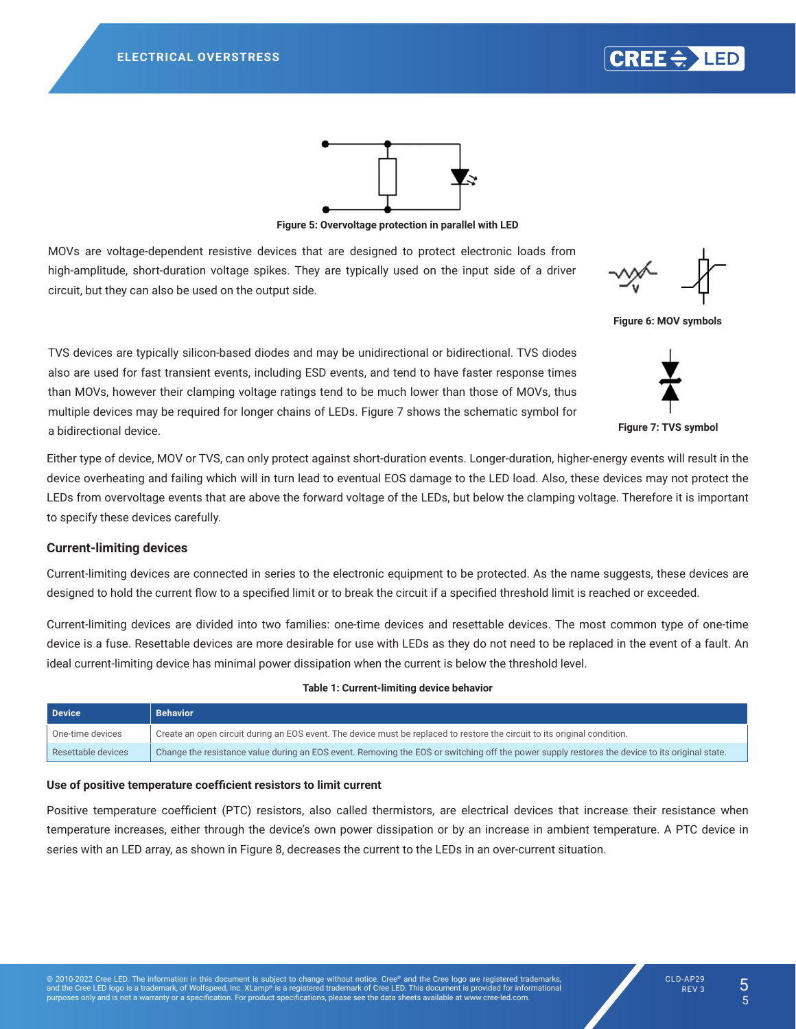<span id="page-4-0"></span>

are metal oxide varistors (MOV) and transient voltage suppressors (TVS). Gas discharge tubes (GDT) are also another



**Figure 5: Overvoltage protection in parallel with LED** 

MOVs are voltage‑dependent resistive devices that are designed to protect electronic loads from high-amplitude, short-duration voltage spikes. They are typically used on the input side of a driver circuit, but they can also be used on the output side.

<span id="page-4-1"></span>

Figure 6: MOV symbols have faster response times than MOVs; however, their clamping voltage ratings tend to be much lower than MOVs,

TVS devices are typically silicon-based diodes and may be unidirectional or bidirectional. TVS diodes also are used for fast transient events, including ESD events, and tend to have faster response times than MOVs, however their clamping voltage ratings tend to be much lower than those of MOVs, thus multiple devices may be required for longer chains of LEDs. [Figure 7](#page-4-1) shows the schematic symbol for a bidirectional device. *Figure 8: Symbol for Transient Voltage Suppressor* **Figure 7: TVS symbol**

Either type of device, MOV or TVS, can only protect against short-duration events. Longer-duration, higher-energy events will result in the device overheating and failing which will in turn lead to eventual EOS damage to the LED load. Also, these devices may not protect the for Formard voltage of the LEDs, but below the class voltage. Therefore it is important to specify these devices LEDs from overvoltage events that are above the forward voltage of the LEDs, but below the clamping voltage. Therefore it is important to specify these devices carefully.

### **Current-limiting devices**

Current-limiting devices are connected in series to the electronic equipment to be protected. As the name suggests, these devices are designed to hold the current flow to a specified limit or to break the circuit if a specified threshold limit is reached or exceeded.

Current-limiting devices are divided into two families: one-time devices and resettable devices. The most common type of one-time of one-time device is a fuse are more devices are more desirable for use  $\mathcal{H}_\text{L}$ device is a fuse. Resettable devices are more desirable for use with LEDs as they do not need to be replaced in the event of a fault. An ideal current-limiting device has minimal power dissipation when the current is below the threshold level.

#### **Table 1: Current-limiting device behavior**

| <b>Device</b>      | <b>Behavior</b>                                                                                                                                |
|--------------------|------------------------------------------------------------------------------------------------------------------------------------------------|
| One-time devices   | Create an open circuit during an EOS event. The device must be replaced to restore the circuit to its original condition.                      |
| Resettable devices | Change the resistance value during an EOS event. Removing the EOS or switching off the power supply restores the device to its original state. |

#### **Use of positive temperature coefficient resistors to limit current**

series with an LED array, as shown in [Figure 8,](#page-5-0) decreases the current to the LEDs in an over-current situation. Positive temperature coefficient (PTC) resistors, also called thermistors, are electrical devices that increase their resistance when temperature increases, either through the device's own power dissipation or by an increase in ambient temperature. A PTC device in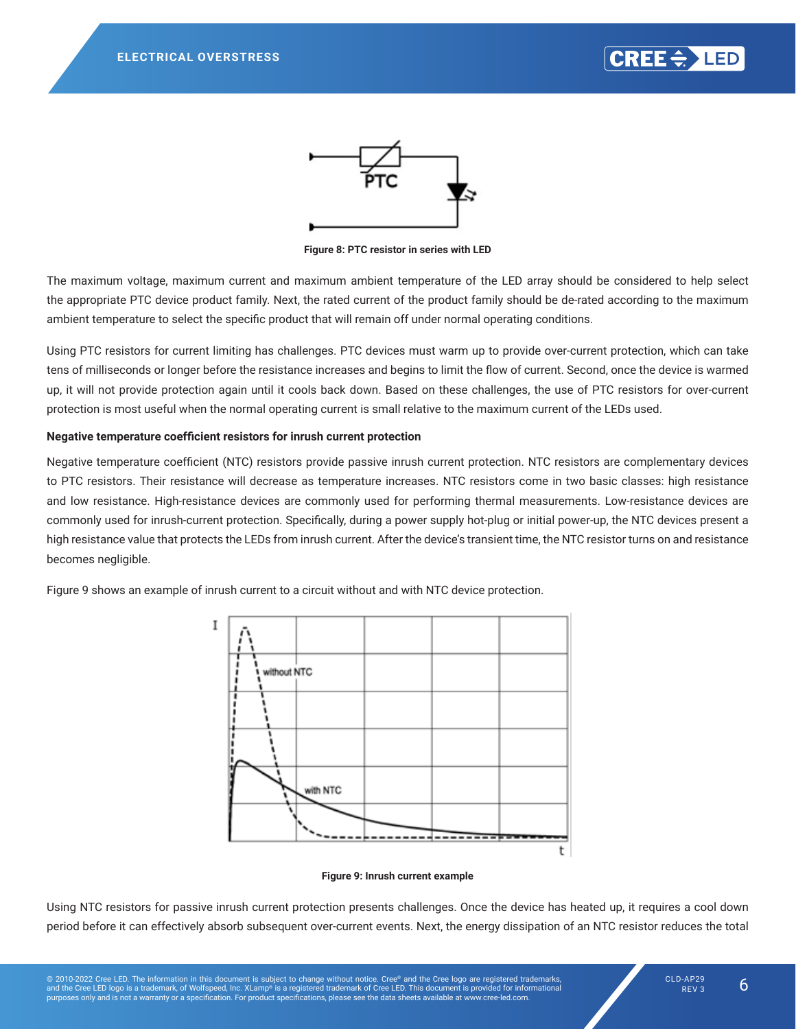<span id="page-5-0"></span>



**Figure 8: PTC resistor in series with LED**

The maximum voltage, maximum current and maximum ambient temperature of the LED array should be considered to help select the appropriate PTC device product family. Next, the rated current of the product family should be de-rated according to the maximum ambient temperature to select the specific product that will remain off under normal operating conditions.

Using PTC resistors for current limiting has challenges. PTC devices must warm up to provide over-current protection, which can take tens of milliseconds or longer before the resistance increases and begins to limit the flow of current. Second, once the device is warmed up, it will not provide protection again until it cools back down. Based on these challenges, the use of PTC resistors for over-current protection is most useful when the normal operating current is small relative to the maximum current of the LEDs used.

#### **Negative temperature coefficient resistors for inrush current protection**

Negative temperature coefficient (NTC) resistors provide passive inrush current protection. NTC resistors are complementary devices to PTC resistors. Their resistance will decrease as temperature increases. NTC resistors come in two basic classes: high resistance and low resistance. High-resistance devices are commonly used for performing thermal measurements. Low-resistance devices are commonly used for inrush-current protection. Specifically, during a power supply hot-plug or initial power-up, the NTC devices present a high resistance value that protects the LEDs from inrush current. After the device's transient time, the NTC resistor turns on and resistance becomes negligible.

[Figure 9](#page-5-1) shows an example of inrush current to a circuit without and with NTC device protection.



#### <span id="page-5-1"></span>**Figure 9: Inrush current example**

Using NTC resistors for passive inrush current protection presents challenges. Once the device has heated up, it requires a cool down period before it can effectively absorb subsequent over-current events. Next, the energy dissipation of an NTC resistor reduces the total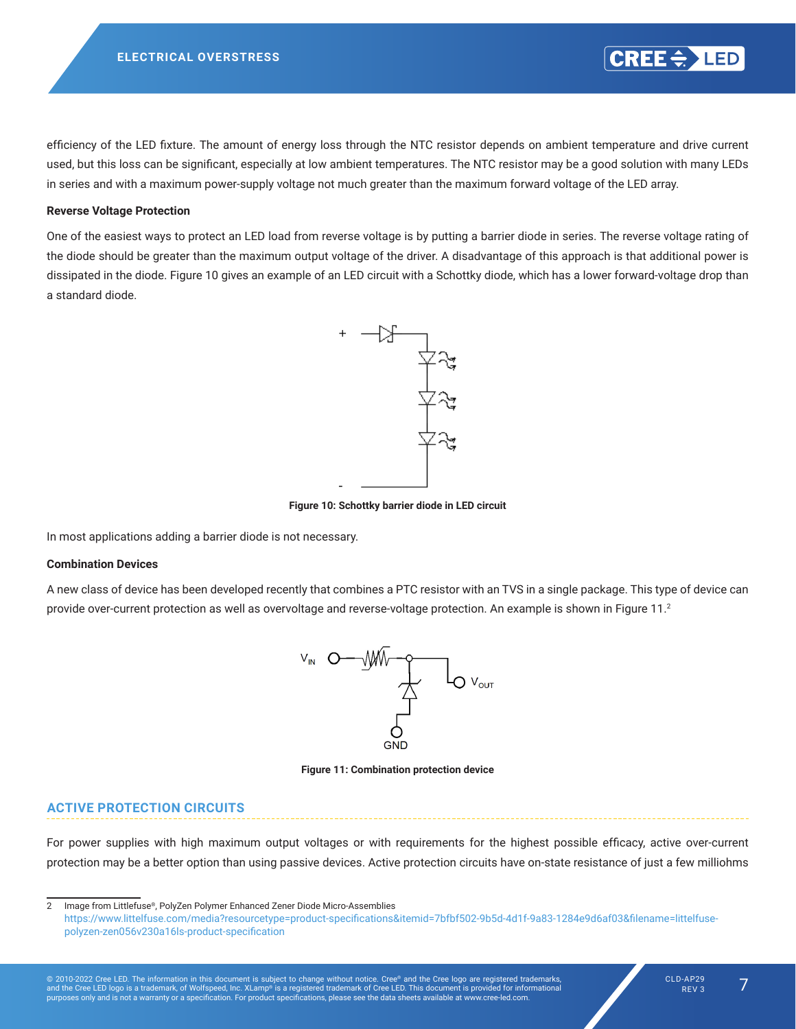efficiency of the LED fixture. The amount of energy loss through the NTC resistor depends on ambient temperature and drive current used, but this loss can be significant, especially at low ambient temperatures. The NTC resistor may be a good solution with many LEDs in series and with a maximum power-supply voltage not much greater than the maximum forward voltage of the LED array. **Reverse Voltage Protection**

#### **One of the easiest way to protection to protect an LED load from reverse voltage is by putting a barrier diode i**

.<br>One of the easiest ways to protect an LED load from reverse voltage is by putting a barrier diode in series. The reverse voltage rating of the diode should be greater than the maximum output voltage of the driver. A disadvantage of this approach is that additional power is dissipated in the diode. [Figure 10](#page-6-0) gives an example of an LED circuit with a Schottky diode, which has a lower forward-voltage drop than<br> a standard diode. be dissipated in the distribution of an example of an Europe of an example of an expression of the exemple pon<br>.

<span id="page-6-0"></span>

**Figure 10: Schottky barrier diode in LED circuit** *Figure 11: Schottky Barrier Diode in LED Circuit*

In most applications adding a barrier diode is not necessary.

## **Combination Devices Combination Devices**

A new class of device has been developed recently that combines a PTC resistor with an TVS in a single package. This type of device can provide over-current protection as well as overvoltage and reverse-voltage protection. An example is shown in [Figure 11.](#page-6-1)<sup>2</sup>



<span id="page-6-1"></span>**Figure 11: Combination protection device** 

### **ACTIVE PROTECTION CIRCUITS**

and not just at turn-on.

For power supplies with high maximum output voltages or with requirements for the highest possible efficacy, active over-current protection may be a better option than using passive devices. Active protection circuits have on-state resistance of just a few milliohms

© 2010-2022 Cree LED. The information in this document is subject to change without notice. Cree® and the Cree logo are registered trademarks,<br>and the Cree LED logo is a trademark, of Wolfspeed, Inc. XLamp® is a registered

 $CRE < \frac{1}{2}$  LED

<sup>2</sup> Image from Littlefuse®, PolyZen Polymer Enhanced Zener Diode Micro-Assemblies https://www.littelfuse.com/media?resourcetype=product-specifications&itemid=7bfbf502-9b5d-4d1f-9a83-1284e9d6af03&filename=littelfusepolyzen-zen056v230a16ls-product-specification addition, active protection can be effective against other transient events that could occur during continuous operation  $\mathcal{L}$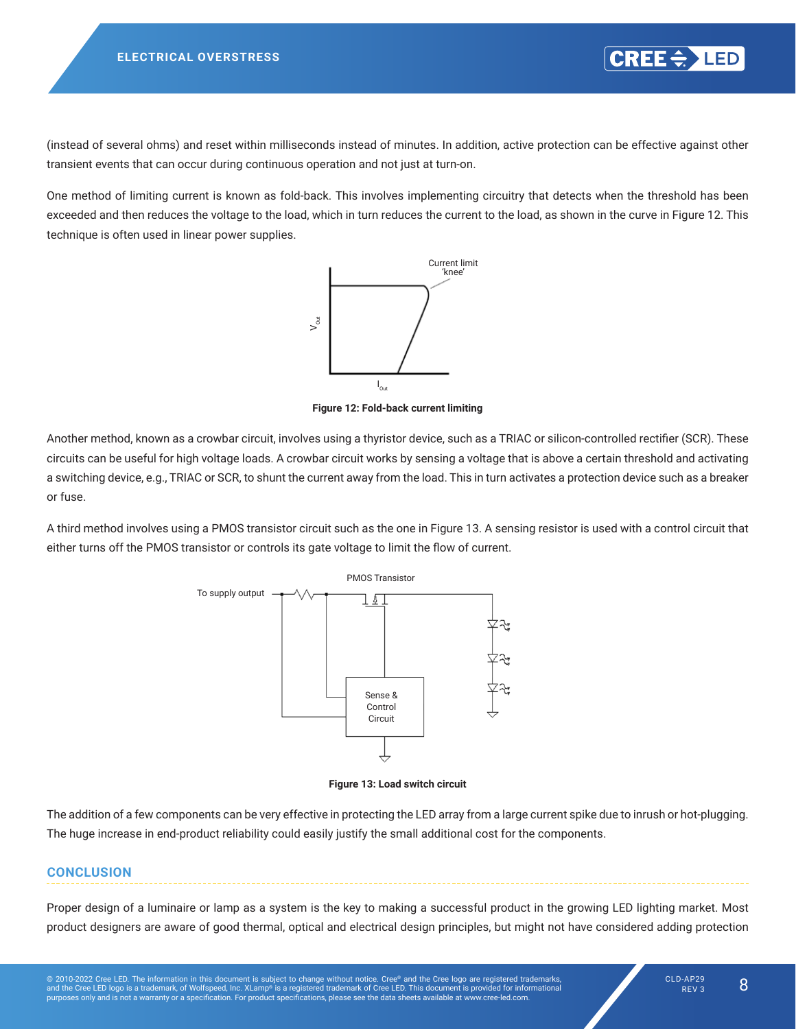<span id="page-7-0"></span>(instead of several ohms) and reset within milliseconds instead of minutes. In addition, active protection can be effective against other transient events that can occur during continuous operation and not just at turn-on.

One method of limiting current is known as fold-back. This involves implementing circuitry that detects when the threshold has been exceeded and then reduces the voltage to the load, which in turn reduces the current to the load, as shown in the curve in [Figure 12](#page-7-1). This technique is often used in linear power supplies.



**Figure 12: Fold-back current limiting** 

Another method, known as a crowbar circuit, involves using a thyristor device, such as a TRIAC or silicon-controlled rectifier (SCR). These circuits can be useful for high voltage loads. A crowbar circuit works by sensing a voltage that is above a certain threshold and activating a switching device, e.g., TRIAC or SCR, to shunt the current away from the load. This in turn activates a protection device such as a breaker or fuse.  $t_{\rm max}$ 

A third method involves using a PMOS transistor circuit such as the one in [Figure 13](#page-7-2). A sensing resistor is used with a control circuit that either turns off the PMOS transistor or controls its gate voltage to limit the flow of current.



<span id="page-7-2"></span><span id="page-7-1"></span>**Figure 13: Load switch circuit** *Figure 14: Load Switch Circuit*

The addition of a few components can be very effective in protecting the LED array from a large current spike due to inrush or hot-plugging. The huge increase in end-product reliability could easily justify the small additional cost for the components.

#### **CONCLUSION** -----------------

Proper design of a luminaire or lamp as a system is the key to making a successful product in the growing LED lighting market. Most product designers are aware of good thermal, optical and electrical design principles, but might not have considered adding protection market. Most product designers are aware of good thermal, optical and electrical design principles, but may not have